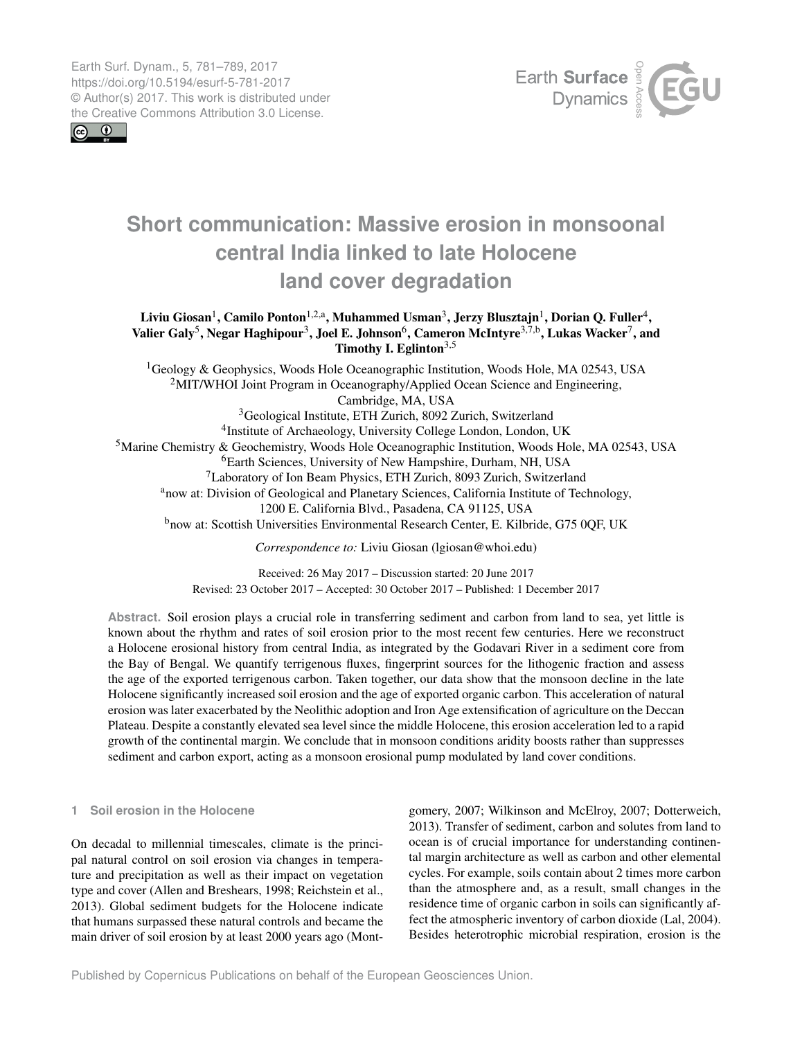<span id="page-0-1"></span>Earth Surf. Dynam., 5, 781–789, 2017 https://doi.org/10.5194/esurf-5-781-2017 © Author(s) 2017. This work is distributed under the Creative Commons Attribution 3.0 License.

 $\circledcirc$ 



# **Short communication: Massive erosion in monsoonal central India linked to late Holocene land cover degradation**

# Liviu Giosan $^1$  $^1$ , Camilo Ponton $^{1,2,\mathrm{a}}$ , Muhammed Usman $^3$  $^3$ , Jerzy Blusztajn $^1$ , Dorian Q. Fuller $^4$  $^4$ , Valier Galy<sup>[5](#page-0-0)</sup>, Negar Haghipour<sup>[3](#page-0-0)</sup>, Joel E. Johnson<sup>[6](#page-0-0)</sup>, Cameron McIntyre<sup>[3,7,b](#page-0-0)</sup>, Lukas Wacker<sup>[7](#page-0-0)</sup>, and Timothy I. Eglinton<sup>[3,5](#page-0-0)</sup>

<sup>1</sup>Geology & Geophysics, Woods Hole Oceanographic Institution, Woods Hole, MA 02543, USA  $2$ MIT/WHOI Joint Program in Oceanography/Applied Ocean Science and Engineering, Cambridge, MA, USA <sup>3</sup>Geological Institute, ETH Zurich, 8092 Zurich, Switzerland 4 Institute of Archaeology, University College London, London, UK <sup>5</sup>Marine Chemistry & Geochemistry, Woods Hole Oceanographic Institution, Woods Hole, MA 02543, USA <sup>6</sup>Earth Sciences, University of New Hampshire, Durham, NH, USA <sup>7</sup>Laboratory of Ion Beam Physics, ETH Zurich, 8093 Zurich, Switzerland <sup>a</sup>now at: Division of Geological and Planetary Sciences, California Institute of Technology, 1200 E. California Blvd., Pasadena, CA 91125, USA <sup>b</sup>now at: Scottish Universities Environmental Research Center, E. Kilbride, G75 0QF, UK *Correspondence to:* Liviu Giosan (lgiosan@whoi.edu)

> Received: 26 May 2017 – Discussion started: 20 June 2017 Revised: 23 October 2017 – Accepted: 30 October 2017 – Published: 1 December 2017

**Abstract.** Soil erosion plays a crucial role in transferring sediment and carbon from land to sea, yet little is known about the rhythm and rates of soil erosion prior to the most recent few centuries. Here we reconstruct a Holocene erosional history from central India, as integrated by the Godavari River in a sediment core from the Bay of Bengal. We quantify terrigenous fluxes, fingerprint sources for the lithogenic fraction and assess the age of the exported terrigenous carbon. Taken together, our data show that the monsoon decline in the late Holocene significantly increased soil erosion and the age of exported organic carbon. This acceleration of natural erosion was later exacerbated by the Neolithic adoption and Iron Age extensification of agriculture on the Deccan Plateau. Despite a constantly elevated sea level since the middle Holocene, this erosion acceleration led to a rapid growth of the continental margin. We conclude that in monsoon conditions aridity boosts rather than suppresses sediment and carbon export, acting as a monsoon erosional pump modulated by land cover conditions.

## <span id="page-0-0"></span>**1 Soil erosion in the Holocene**

On decadal to millennial timescales, climate is the principal natural control on soil erosion via changes in temperature and precipitation as well as their impact on vegetation type and cover (Allen and Breshears, 1998; Reichstein et al., 2013). Global sediment budgets for the Holocene indicate that humans surpassed these natural controls and became the main driver of soil erosion by at least 2000 years ago (Mont-

gomery, 2007; Wilkinson and McElroy, 2007; Dotterweich, 2013). Transfer of sediment, carbon and solutes from land to ocean is of crucial importance for understanding continental margin architecture as well as carbon and other elemental cycles. For example, soils contain about 2 times more carbon than the atmosphere and, as a result, small changes in the residence time of organic carbon in soils can significantly affect the atmospheric inventory of carbon dioxide (Lal, 2004). Besides heterotrophic microbial respiration, erosion is the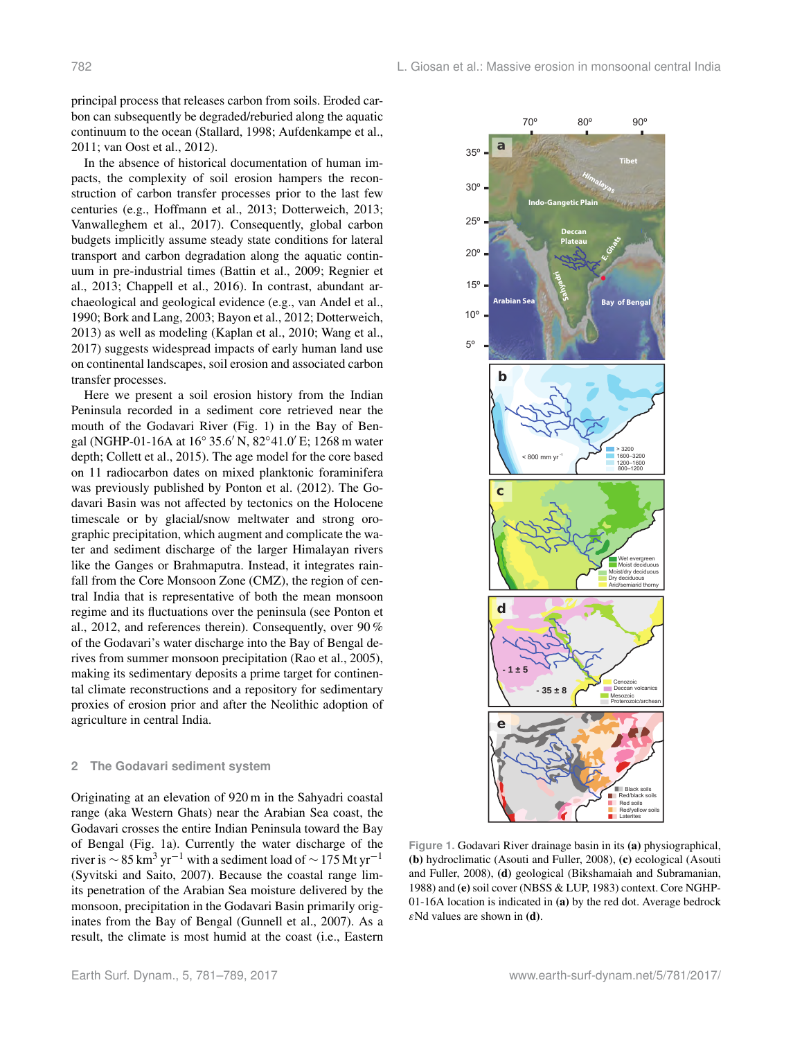principal process that releases carbon from soils. Eroded carbon can subsequently be degraded/reburied along the aquatic continuum to the ocean (Stallard, 1998; Aufdenkampe et al., 2011; van Oost et al., 2012).

In the absence of historical documentation of human impacts, the complexity of soil erosion hampers the reconstruction of carbon transfer processes prior to the last few centuries (e.g., Hoffmann et al., 2013; Dotterweich, 2013; Vanwalleghem et al., 2017). Consequently, global carbon budgets implicitly assume steady state conditions for lateral transport and carbon degradation along the aquatic continuum in pre-industrial times (Battin et al., 2009; Regnier et al., 2013; Chappell et al., 2016). In contrast, abundant archaeological and geological evidence (e.g., van Andel et al., 1990; Bork and Lang, 2003; Bayon et al., 2012; Dotterweich, 2013) as well as modeling (Kaplan et al., 2010; Wang et al., 2017) suggests widespread impacts of early human land use on continental landscapes, soil erosion and associated carbon transfer processes.

Here we present a soil erosion history from the Indian Peninsula recorded in a sediment core retrieved near the mouth of the Godavari River (Fig. 1) in the Bay of Bengal (NGHP-01-16A at 16° 35.6' N, 82°41.0' E; 1268 m water depth; Collett et al., 2015). The age model for the core based on 11 radiocarbon dates on mixed planktonic foraminifera was previously published by Ponton et al. (2012). The Godavari Basin was not affected by tectonics on the Holocene timescale or by glacial/snow meltwater and strong orographic precipitation, which augment and complicate the water and sediment discharge of the larger Himalayan rivers like the Ganges or Brahmaputra. Instead, it integrates rainfall from the Core Monsoon Zone (CMZ), the region of central India that is representative of both the mean monsoon regime and its fluctuations over the peninsula (see Ponton et al., 2012, and references therein). Consequently, over 90 % of the Godavari's water discharge into the Bay of Bengal derives from summer monsoon precipitation (Rao et al., 2005), making its sedimentary deposits a prime target for continental climate reconstructions and a repository for sedimentary proxies of erosion prior and after the Neolithic adoption of agriculture in central India.

#### **2 The Godavari sediment system**

Originating at an elevation of 920 m in the Sahyadri coastal range (aka Western Ghats) near the Arabian Sea coast, the Godavari crosses the entire Indian Peninsula toward the Bay of Bengal (Fig. 1a). Currently the water discharge of the river is  $\sim$  85 km<sup>3</sup> yr<sup>-1</sup> with a sediment load of  $\sim$  175 Mt yr<sup>-1</sup> (Syvitski and Saito, 2007). Because the coastal range limits penetration of the Arabian Sea moisture delivered by the monsoon, precipitation in the Godavari Basin primarily originates from the Bay of Bengal (Gunnell et al., 2007). As a result, the climate is most humid at the coast (i.e., Eastern



**Figure 1.** Godavari River drainage basin in its (a) physiographical, (b) hydroclimatic (Asouti and Fuller, 2008), (c) ecological (Asouti and Fuller, 2008), (d) geological (Bikshamaiah and Subramanian, 1988) and (e) soil cover (NBSS & LUP, 1983) context. Core NGHP-01-16A location is indicated in (a) by the red dot. Average bedrock  $\varepsilon$ Nd values are shown in (d).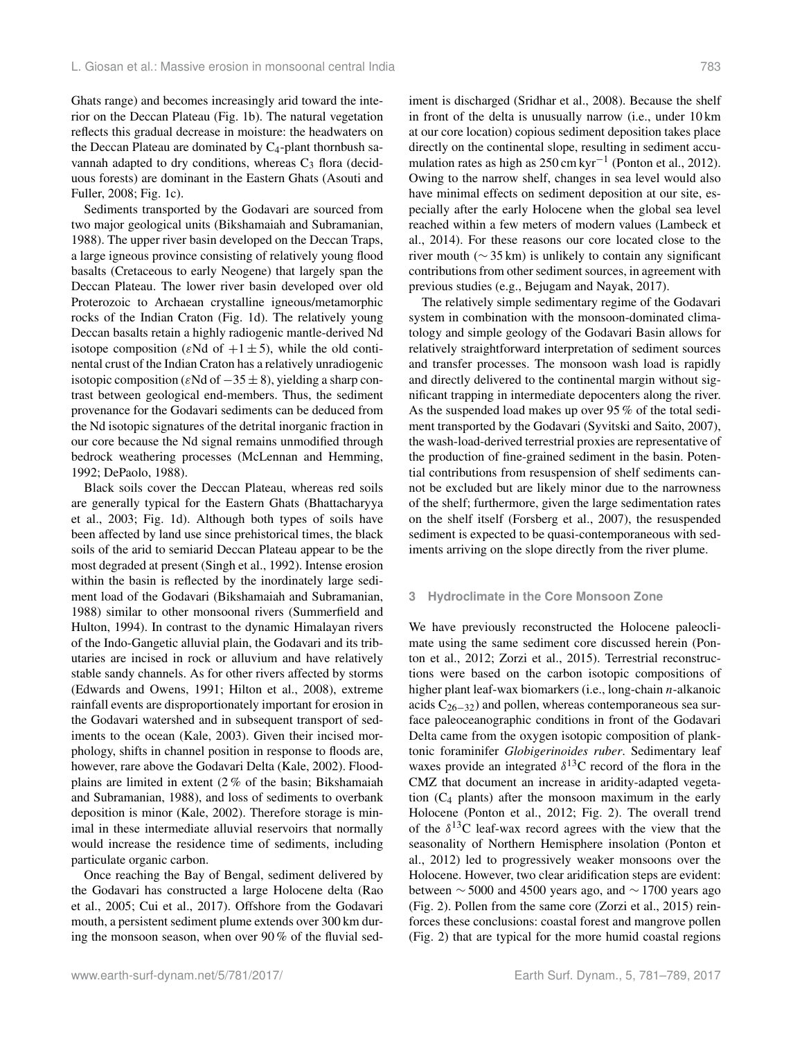Ghats range) and becomes increasingly arid toward the interior on the Deccan Plateau (Fig. 1b). The natural vegetation reflects this gradual decrease in moisture: the headwaters on the Deccan Plateau are dominated by  $C_4$ -plant thornbush savannah adapted to dry conditions, whereas  $C_3$  flora (deciduous forests) are dominant in the Eastern Ghats (Asouti and Fuller, 2008; Fig. 1c).

Sediments transported by the Godavari are sourced from two major geological units (Bikshamaiah and Subramanian, 1988). The upper river basin developed on the Deccan Traps, a large igneous province consisting of relatively young flood basalts (Cretaceous to early Neogene) that largely span the Deccan Plateau. The lower river basin developed over old Proterozoic to Archaean crystalline igneous/metamorphic rocks of the Indian Craton (Fig. 1d). The relatively young Deccan basalts retain a highly radiogenic mantle-derived Nd isotope composition ( $\varepsilon$ Nd of  $+1 \pm 5$ ), while the old continental crust of the Indian Craton has a relatively unradiogenic isotopic composition ( $\varepsilon$ Nd of  $-35 \pm 8$ ), yielding a sharp contrast between geological end-members. Thus, the sediment provenance for the Godavari sediments can be deduced from the Nd isotopic signatures of the detrital inorganic fraction in our core because the Nd signal remains unmodified through bedrock weathering processes (McLennan and Hemming, 1992; DePaolo, 1988).

Black soils cover the Deccan Plateau, whereas red soils are generally typical for the Eastern Ghats (Bhattacharyya et al., 2003; Fig. 1d). Although both types of soils have been affected by land use since prehistorical times, the black soils of the arid to semiarid Deccan Plateau appear to be the most degraded at present (Singh et al., 1992). Intense erosion within the basin is reflected by the inordinately large sediment load of the Godavari (Bikshamaiah and Subramanian, 1988) similar to other monsoonal rivers (Summerfield and Hulton, 1994). In contrast to the dynamic Himalayan rivers of the Indo-Gangetic alluvial plain, the Godavari and its tributaries are incised in rock or alluvium and have relatively stable sandy channels. As for other rivers affected by storms (Edwards and Owens, 1991; Hilton et al., 2008), extreme rainfall events are disproportionately important for erosion in the Godavari watershed and in subsequent transport of sediments to the ocean (Kale, 2003). Given their incised morphology, shifts in channel position in response to floods are, however, rare above the Godavari Delta (Kale, 2002). Floodplains are limited in extent (2 % of the basin; Bikshamaiah and Subramanian, 1988), and loss of sediments to overbank deposition is minor (Kale, 2002). Therefore storage is minimal in these intermediate alluvial reservoirs that normally would increase the residence time of sediments, including particulate organic carbon.

Once reaching the Bay of Bengal, sediment delivered by the Godavari has constructed a large Holocene delta (Rao et al., 2005; Cui et al., 2017). Offshore from the Godavari mouth, a persistent sediment plume extends over 300 km during the monsoon season, when over 90 % of the fluvial sediment is discharged (Sridhar et al., 2008). Because the shelf in front of the delta is unusually narrow (i.e., under 10 km at our core location) copious sediment deposition takes place directly on the continental slope, resulting in sediment accumulation rates as high as 250 cm kyr−<sup>1</sup> (Ponton et al., 2012). Owing to the narrow shelf, changes in sea level would also have minimal effects on sediment deposition at our site, especially after the early Holocene when the global sea level reached within a few meters of modern values (Lambeck et al., 2014). For these reasons our core located close to the river mouth (∼ 35 km) is unlikely to contain any significant contributions from other sediment sources, in agreement with previous studies (e.g., Bejugam and Nayak, 2017).

The relatively simple sedimentary regime of the Godavari system in combination with the monsoon-dominated climatology and simple geology of the Godavari Basin allows for relatively straightforward interpretation of sediment sources and transfer processes. The monsoon wash load is rapidly and directly delivered to the continental margin without significant trapping in intermediate depocenters along the river. As the suspended load makes up over 95 % of the total sediment transported by the Godavari (Syvitski and Saito, 2007), the wash-load-derived terrestrial proxies are representative of the production of fine-grained sediment in the basin. Potential contributions from resuspension of shelf sediments cannot be excluded but are likely minor due to the narrowness of the shelf; furthermore, given the large sedimentation rates on the shelf itself (Forsberg et al., 2007), the resuspended sediment is expected to be quasi-contemporaneous with sediments arriving on the slope directly from the river plume.

#### **3 Hydroclimate in the Core Monsoon Zone**

We have previously reconstructed the Holocene paleoclimate using the same sediment core discussed herein (Ponton et al., 2012; Zorzi et al., 2015). Terrestrial reconstructions were based on the carbon isotopic compositions of higher plant leaf-wax biomarkers (i.e., long-chain *n*-alkanoic acids  $C_{26-32}$ ) and pollen, whereas contemporaneous sea surface paleoceanographic conditions in front of the Godavari Delta came from the oxygen isotopic composition of planktonic foraminifer *Globigerinoides ruber*. Sedimentary leaf waxes provide an integrated  $\delta^{13}$ C record of the flora in the CMZ that document an increase in aridity-adapted vegetation  $(C_4$  plants) after the monsoon maximum in the early Holocene (Ponton et al., 2012; Fig. 2). The overall trend of the  $\delta^{13}$ C leaf-wax record agrees with the view that the seasonality of Northern Hemisphere insolation (Ponton et al., 2012) led to progressively weaker monsoons over the Holocene. However, two clear aridification steps are evident: between  $\sim$  5000 and 4500 years ago, and  $\sim$  1700 years ago (Fig. 2). Pollen from the same core (Zorzi et al., 2015) reinforces these conclusions: coastal forest and mangrove pollen (Fig. 2) that are typical for the more humid coastal regions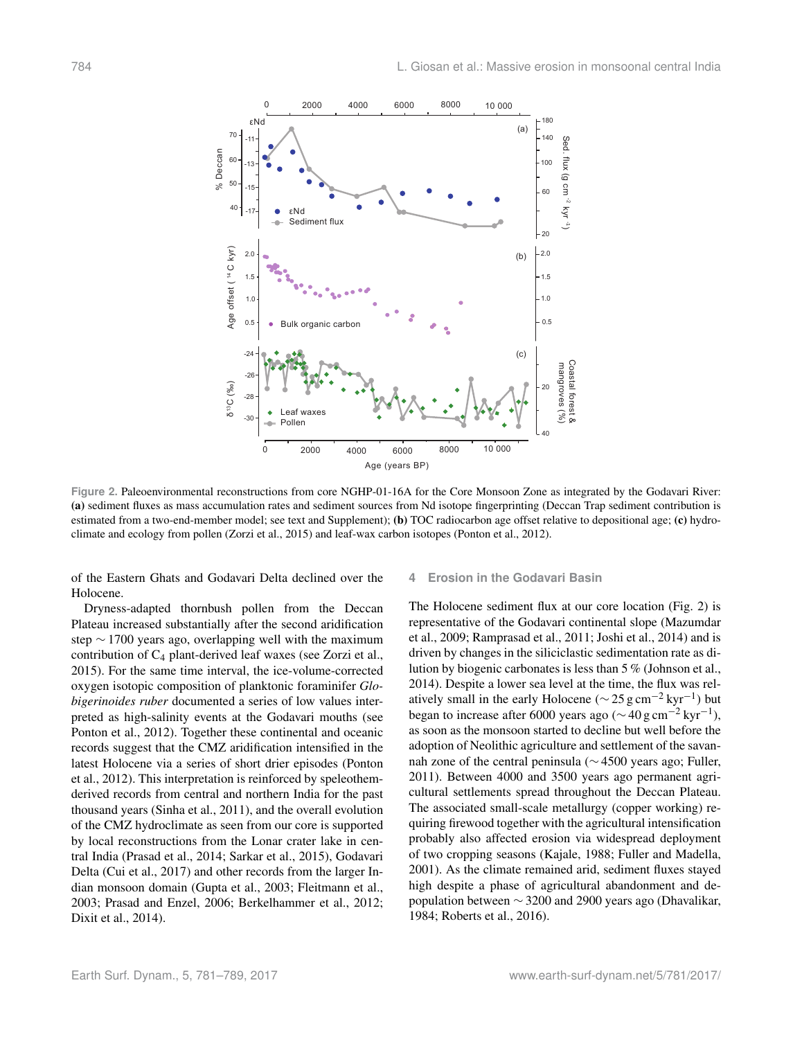

**Figure 2.** Paleoenvironmental reconstructions from core NGHP-01-16A for the Core Monsoon Zone as integrated by the Godavari River: (a) sediment fluxes as mass accumulation rates and sediment sources from Nd isotope fingerprinting (Deccan Trap sediment contribution is estimated from a two-end-member model; see text and Supplement); (b) TOC radiocarbon age offset relative to depositional age; (c) hydroclimate and ecology from pollen (Zorzi et al., 2015) and leaf-wax carbon isotopes (Ponton et al., 2012).

of the Eastern Ghats and Godavari Delta declined over the Holocene.

Dryness-adapted thornbush pollen from the Deccan Plateau increased substantially after the second aridification step ∼ 1700 years ago, overlapping well with the maximum contribution of C<sup>4</sup> plant-derived leaf waxes (see Zorzi et al., 2015). For the same time interval, the ice-volume-corrected oxygen isotopic composition of planktonic foraminifer *Globigerinoides ruber* documented a series of low values interpreted as high-salinity events at the Godavari mouths (see Ponton et al., 2012). Together these continental and oceanic records suggest that the CMZ aridification intensified in the latest Holocene via a series of short drier episodes (Ponton et al., 2012). This interpretation is reinforced by speleothemderived records from central and northern India for the past thousand years (Sinha et al., 2011), and the overall evolution of the CMZ hydroclimate as seen from our core is supported by local reconstructions from the Lonar crater lake in central India (Prasad et al., 2014; Sarkar et al., 2015), Godavari Delta (Cui et al., 2017) and other records from the larger Indian monsoon domain (Gupta et al., 2003; Fleitmann et al., 2003; Prasad and Enzel, 2006; Berkelhammer et al., 2012; Dixit et al., 2014).

### **4 Erosion in the Godavari Basin**

The Holocene sediment flux at our core location (Fig. 2) is representative of the Godavari continental slope (Mazumdar et al., 2009; Ramprasad et al., 2011; Joshi et al., 2014) and is driven by changes in the siliciclastic sedimentation rate as dilution by biogenic carbonates is less than 5 % (Johnson et al., 2014). Despite a lower sea level at the time, the flux was relatively small in the early Holocene ( $\sim$  25 g cm<sup>-2</sup> kyr<sup>-1</sup>) but began to increase after 6000 years ago ( $\sim$  40 g cm<sup>-2</sup> kyr<sup>-1</sup>), as soon as the monsoon started to decline but well before the adoption of Neolithic agriculture and settlement of the savannah zone of the central peninsula (∼ 4500 years ago; Fuller, 2011). Between 4000 and 3500 years ago permanent agricultural settlements spread throughout the Deccan Plateau. The associated small-scale metallurgy (copper working) requiring firewood together with the agricultural intensification probably also affected erosion via widespread deployment of two cropping seasons (Kajale, 1988; Fuller and Madella, 2001). As the climate remained arid, sediment fluxes stayed high despite a phase of agricultural abandonment and depopulation between  $\sim$  3200 and 2900 years ago (Dhavalikar, 1984; Roberts et al., 2016).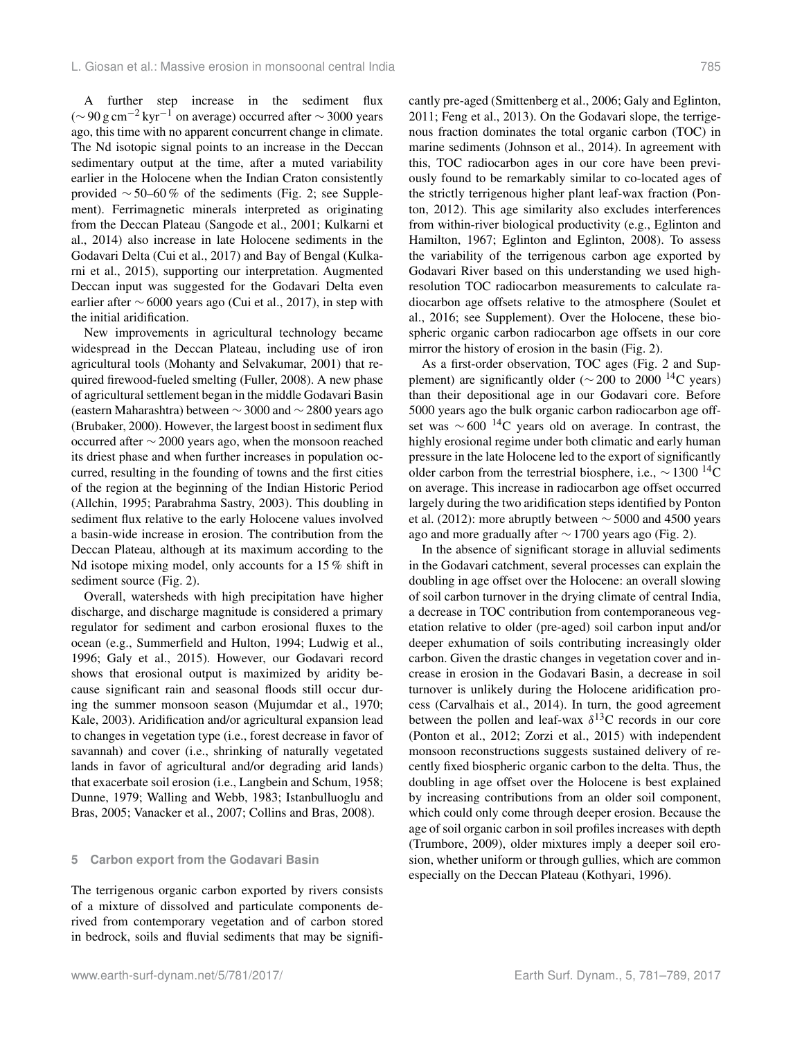A further step increase in the sediment flux (∼90 g cm<sup>-2</sup> kyr<sup>-1</sup> on average) occurred after ~3000 years ago, this time with no apparent concurrent change in climate. The Nd isotopic signal points to an increase in the Deccan sedimentary output at the time, after a muted variability earlier in the Holocene when the Indian Craton consistently provided  $\sim$  50–60% of the sediments (Fig. 2; see Supplement). Ferrimagnetic minerals interpreted as originating from the Deccan Plateau (Sangode et al., 2001; Kulkarni et al., 2014) also increase in late Holocene sediments in the Godavari Delta (Cui et al., 2017) and Bay of Bengal (Kulkarni et al., 2015), supporting our interpretation. Augmented Deccan input was suggested for the Godavari Delta even earlier after ∼ 6000 years ago (Cui et al., 2017), in step with the initial aridification.

New improvements in agricultural technology became widespread in the Deccan Plateau, including use of iron agricultural tools (Mohanty and Selvakumar, 2001) that required firewood-fueled smelting (Fuller, 2008). A new phase of agricultural settlement began in the middle Godavari Basin (eastern Maharashtra) between ∼ 3000 and ∼ 2800 years ago (Brubaker, 2000). However, the largest boost in sediment flux occurred after ∼ 2000 years ago, when the monsoon reached its driest phase and when further increases in population occurred, resulting in the founding of towns and the first cities of the region at the beginning of the Indian Historic Period (Allchin, 1995; Parabrahma Sastry, 2003). This doubling in sediment flux relative to the early Holocene values involved a basin-wide increase in erosion. The contribution from the Deccan Plateau, although at its maximum according to the Nd isotope mixing model, only accounts for a 15 % shift in sediment source (Fig. 2).

Overall, watersheds with high precipitation have higher discharge, and discharge magnitude is considered a primary regulator for sediment and carbon erosional fluxes to the ocean (e.g., Summerfield and Hulton, 1994; Ludwig et al., 1996; Galy et al., 2015). However, our Godavari record shows that erosional output is maximized by aridity because significant rain and seasonal floods still occur during the summer monsoon season (Mujumdar et al., 1970; Kale, 2003). Aridification and/or agricultural expansion lead to changes in vegetation type (i.e., forest decrease in favor of savannah) and cover (i.e., shrinking of naturally vegetated lands in favor of agricultural and/or degrading arid lands) that exacerbate soil erosion (i.e., Langbein and Schum, 1958; Dunne, 1979; Walling and Webb, 1983; Istanbulluoglu and Bras, 2005; Vanacker et al., 2007; Collins and Bras, 2008).

#### **5 Carbon export from the Godavari Basin**

The terrigenous organic carbon exported by rivers consists of a mixture of dissolved and particulate components derived from contemporary vegetation and of carbon stored in bedrock, soils and fluvial sediments that may be significantly pre-aged (Smittenberg et al., 2006; Galy and Eglinton, 2011; Feng et al., 2013). On the Godavari slope, the terrigenous fraction dominates the total organic carbon (TOC) in marine sediments (Johnson et al., 2014). In agreement with this, TOC radiocarbon ages in our core have been previously found to be remarkably similar to co-located ages of the strictly terrigenous higher plant leaf-wax fraction (Ponton, 2012). This age similarity also excludes interferences from within-river biological productivity (e.g., Eglinton and Hamilton, 1967; Eglinton and Eglinton, 2008). To assess the variability of the terrigenous carbon age exported by Godavari River based on this understanding we used highresolution TOC radiocarbon measurements to calculate radiocarbon age offsets relative to the atmosphere (Soulet et al., 2016; see Supplement). Over the Holocene, these biospheric organic carbon radiocarbon age offsets in our core mirror the history of erosion in the basin (Fig. 2).

As a first-order observation, TOC ages (Fig. 2 and Supplement) are significantly older ( $\sim$  200 to 2000 <sup>14</sup>C years) than their depositional age in our Godavari core. Before 5000 years ago the bulk organic carbon radiocarbon age offset was  $\sim$  600<sup>-14</sup>C years old on average. In contrast, the highly erosional regime under both climatic and early human pressure in the late Holocene led to the export of significantly older carbon from the terrestrial biosphere, i.e.,  $\sim 1300$  <sup>14</sup>C on average. This increase in radiocarbon age offset occurred largely during the two aridification steps identified by Ponton et al. (2012): more abruptly between  $\sim$  5000 and 4500 years ago and more gradually after ∼ 1700 years ago (Fig. 2).

In the absence of significant storage in alluvial sediments in the Godavari catchment, several processes can explain the doubling in age offset over the Holocene: an overall slowing of soil carbon turnover in the drying climate of central India, a decrease in TOC contribution from contemporaneous vegetation relative to older (pre-aged) soil carbon input and/or deeper exhumation of soils contributing increasingly older carbon. Given the drastic changes in vegetation cover and increase in erosion in the Godavari Basin, a decrease in soil turnover is unlikely during the Holocene aridification process (Carvalhais et al., 2014). In turn, the good agreement between the pollen and leaf-wax  $\delta^{13}$ C records in our core (Ponton et al., 2012; Zorzi et al., 2015) with independent monsoon reconstructions suggests sustained delivery of recently fixed biospheric organic carbon to the delta. Thus, the doubling in age offset over the Holocene is best explained by increasing contributions from an older soil component, which could only come through deeper erosion. Because the age of soil organic carbon in soil profiles increases with depth (Trumbore, 2009), older mixtures imply a deeper soil erosion, whether uniform or through gullies, which are common especially on the Deccan Plateau (Kothyari, 1996).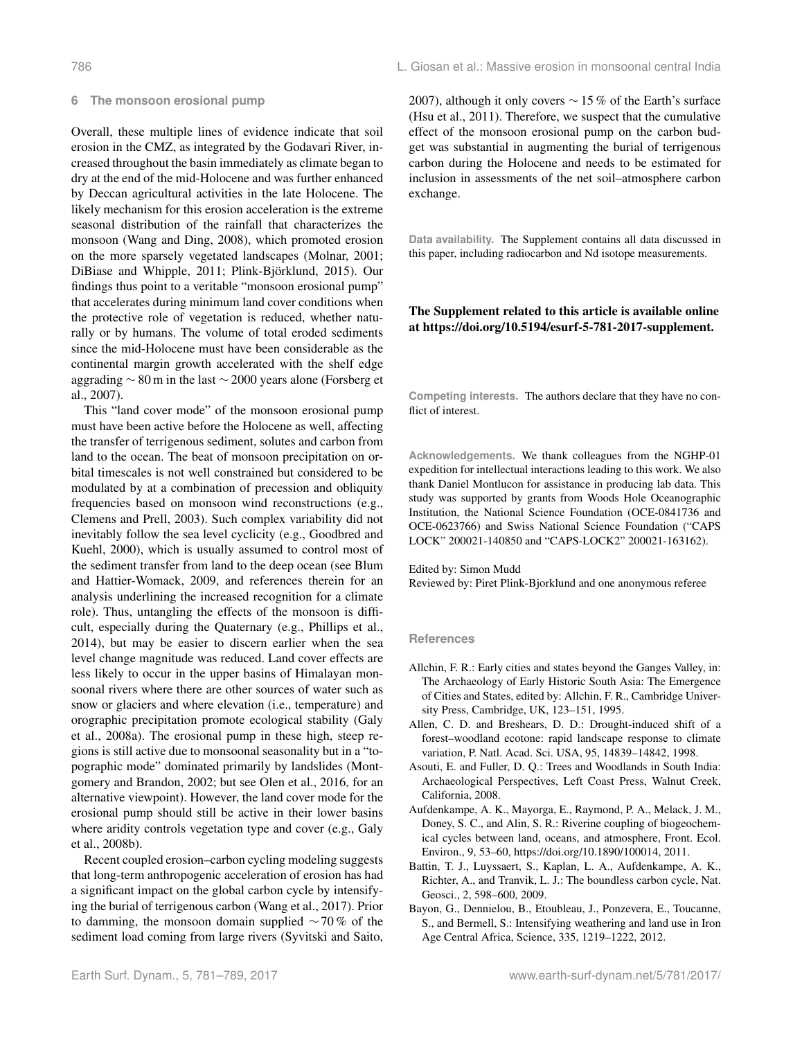#### **6 The monsoon erosional pump**

Overall, these multiple lines of evidence indicate that soil erosion in the CMZ, as integrated by the Godavari River, increased throughout the basin immediately as climate began to dry at the end of the mid-Holocene and was further enhanced by Deccan agricultural activities in the late Holocene. The likely mechanism for this erosion acceleration is the extreme seasonal distribution of the rainfall that characterizes the monsoon (Wang and Ding, 2008), which promoted erosion on the more sparsely vegetated landscapes (Molnar, 2001; DiBiase and Whipple, 2011; Plink-Björklund, 2015). Our findings thus point to a veritable "monsoon erosional pump" that accelerates during minimum land cover conditions when the protective role of vegetation is reduced, whether naturally or by humans. The volume of total eroded sediments since the mid-Holocene must have been considerable as the continental margin growth accelerated with the shelf edge aggrading ∼ 80 m in the last ∼ 2000 years alone (Forsberg et al., 2007).

This "land cover mode" of the monsoon erosional pump must have been active before the Holocene as well, affecting the transfer of terrigenous sediment, solutes and carbon from land to the ocean. The beat of monsoon precipitation on orbital timescales is not well constrained but considered to be modulated by at a combination of precession and obliquity frequencies based on monsoon wind reconstructions (e.g., Clemens and Prell, 2003). Such complex variability did not inevitably follow the sea level cyclicity (e.g., Goodbred and Kuehl, 2000), which is usually assumed to control most of the sediment transfer from land to the deep ocean (see Blum and Hattier-Womack, 2009, and references therein for an analysis underlining the increased recognition for a climate role). Thus, untangling the effects of the monsoon is difficult, especially during the Quaternary (e.g., Phillips et al., 2014), but may be easier to discern earlier when the sea level change magnitude was reduced. Land cover effects are less likely to occur in the upper basins of Himalayan monsoonal rivers where there are other sources of water such as snow or glaciers and where elevation (i.e., temperature) and orographic precipitation promote ecological stability (Galy et al., 2008a). The erosional pump in these high, steep regions is still active due to monsoonal seasonality but in a "topographic mode" dominated primarily by landslides (Montgomery and Brandon, 2002; but see Olen et al., 2016, for an alternative viewpoint). However, the land cover mode for the erosional pump should still be active in their lower basins where aridity controls vegetation type and cover (e.g., Galy et al., 2008b).

Recent coupled erosion–carbon cycling modeling suggests that long-term anthropogenic acceleration of erosion has had a significant impact on the global carbon cycle by intensifying the burial of terrigenous carbon (Wang et al., 2017). Prior to damming, the monsoon domain supplied ∼ 70 % of the sediment load coming from large rivers (Syvitski and Saito, 2007), although it only covers ∼ 15 % of the Earth's surface (Hsu et al., 2011). Therefore, we suspect that the cumulative effect of the monsoon erosional pump on the carbon budget was substantial in augmenting the burial of terrigenous carbon during the Holocene and needs to be estimated for inclusion in assessments of the net soil–atmosphere carbon exchange.

**Data availability.** The Supplement contains all data discussed in this paper, including radiocarbon and Nd isotope measurements.

## The Supplement related to this article is available online at [https://doi.org/10.5194/esurf-5-781-2017-supplement.](https://doi.org/10.5194/esurf-5-781-2017-supplement)

**Competing interests.** The authors declare that they have no conflict of interest.

**Acknowledgements.** We thank colleagues from the NGHP-01 expedition for intellectual interactions leading to this work. We also thank Daniel Montlucon for assistance in producing lab data. This study was supported by grants from Woods Hole Oceanographic Institution, the National Science Foundation (OCE-0841736 and OCE-0623766) and Swiss National Science Foundation ("CAPS LOCK" 200021-140850 and "CAPS-LOCK2" 200021-163162).

#### Edited by: Simon Mudd

Reviewed by: Piret Plink-Bjorklund and one anonymous referee

#### **References**

- Allchin, F. R.: Early cities and states beyond the Ganges Valley, in: The Archaeology of Early Historic South Asia: The Emergence of Cities and States, edited by: Allchin, F. R., Cambridge University Press, Cambridge, UK, 123–151, 1995.
- Allen, C. D. and Breshears, D. D.: Drought-induced shift of a forest–woodland ecotone: rapid landscape response to climate variation, P. Natl. Acad. Sci. USA, 95, 14839–14842, 1998.
- Asouti, E. and Fuller, D. Q.: Trees and Woodlands in South India: Archaeological Perspectives, Left Coast Press, Walnut Creek, California, 2008.
- Aufdenkampe, A. K., Mayorga, E., Raymond, P. A., Melack, J. M., Doney, S. C., and Alin, S. R.: Riverine coupling of biogeochemical cycles between land, oceans, and atmosphere, Front. Ecol. Environ., 9, 53–60, https://doi.org[/10.1890/100014,](https://doi.org/10.1890/100014) 2011.
- Battin, T. J., Luyssaert, S., Kaplan, L. A., Aufdenkampe, A. K., Richter, A., and Tranvik, L. J.: The boundless carbon cycle, Nat. Geosci., 2, 598–600, 2009.
- Bayon, G., Dennielou, B., Etoubleau, J., Ponzevera, E., Toucanne, S., and Bermell, S.: Intensifying weathering and land use in Iron Age Central Africa, Science, 335, 1219–1222, 2012.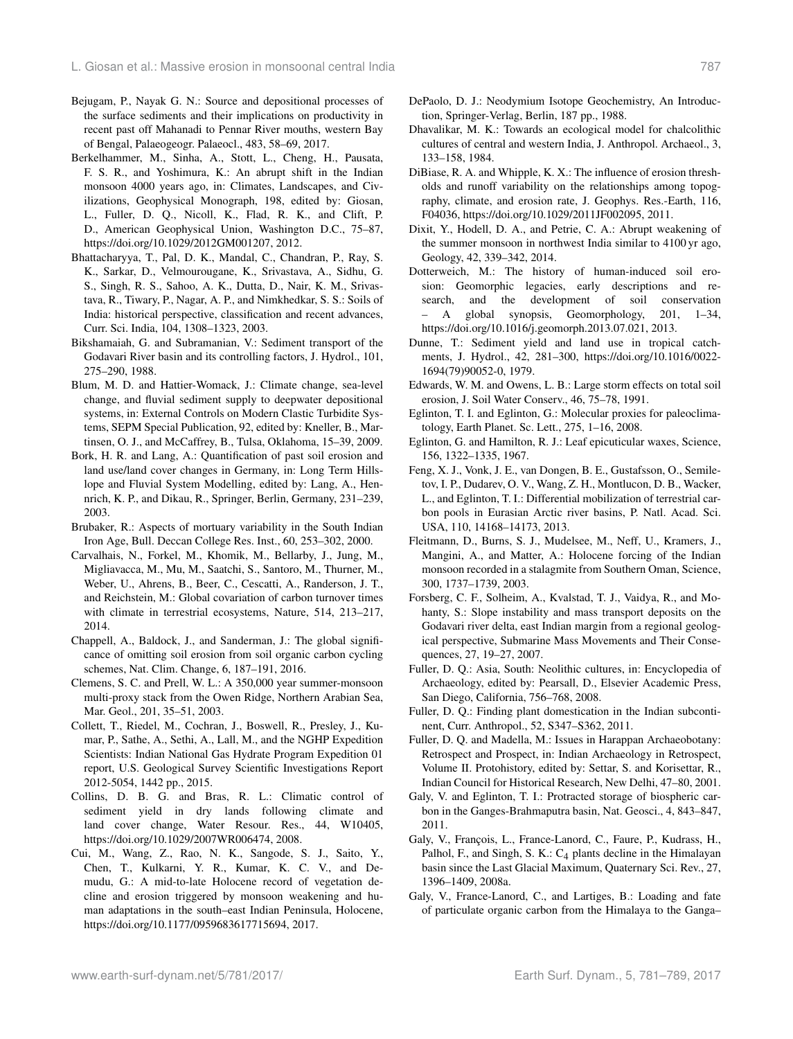- Bejugam, P., Nayak G. N.: Source and depositional processes of the surface sediments and their implications on productivity in recent past off Mahanadi to Pennar River mouths, western Bay of Bengal, Palaeogeogr. Palaeocl., 483, 58–69, 2017.
- Berkelhammer, M., Sinha, A., Stott, L., Cheng, H., Pausata, F. S. R., and Yoshimura, K.: An abrupt shift in the Indian monsoon 4000 years ago, in: Climates, Landscapes, and Civilizations, Geophysical Monograph, 198, edited by: Giosan, L., Fuller, D. Q., Nicoll, K., Flad, R. K., and Clift, P. D., American Geophysical Union, Washington D.C., 75–87, https://doi.org[/10.1029/2012GM001207,](https://doi.org/10.1029/2012GM001207) 2012.
- Bhattacharyya, T., Pal, D. K., Mandal, C., Chandran, P., Ray, S. K., Sarkar, D., Velmourougane, K., Srivastava, A., Sidhu, G. S., Singh, R. S., Sahoo, A. K., Dutta, D., Nair, K. M., Srivastava, R., Tiwary, P., Nagar, A. P., and Nimkhedkar, S. S.: Soils of India: historical perspective, classification and recent advances, Curr. Sci. India, 104, 1308–1323, 2003.
- Bikshamaiah, G. and Subramanian, V.: Sediment transport of the Godavari River basin and its controlling factors, J. Hydrol., 101, 275–290, 1988.
- Blum, M. D. and Hattier-Womack, J.: Climate change, sea-level change, and fluvial sediment supply to deepwater depositional systems, in: External Controls on Modern Clastic Turbidite Systems, SEPM Special Publication, 92, edited by: Kneller, B., Martinsen, O. J., and McCaffrey, B., Tulsa, Oklahoma, 15–39, 2009.
- Bork, H. R. and Lang, A.: Quantification of past soil erosion and land use/land cover changes in Germany, in: Long Term Hillslope and Fluvial System Modelling, edited by: Lang, A., Hennrich, K. P., and Dikau, R., Springer, Berlin, Germany, 231–239, 2003.
- Brubaker, R.: Aspects of mortuary variability in the South Indian Iron Age, Bull. Deccan College Res. Inst., 60, 253–302, 2000.
- Carvalhais, N., Forkel, M., Khomik, M., Bellarby, J., Jung, M., Migliavacca, M., Mu, M., Saatchi, S., Santoro, M., Thurner, M., Weber, U., Ahrens, B., Beer, C., Cescatti, A., Randerson, J. T., and Reichstein, M.: Global covariation of carbon turnover times with climate in terrestrial ecosystems, Nature, 514, 213–217, 2014.
- Chappell, A., Baldock, J., and Sanderman, J.: The global significance of omitting soil erosion from soil organic carbon cycling schemes, Nat. Clim. Change, 6, 187–191, 2016.
- Clemens, S. C. and Prell, W. L.: A 350,000 year summer-monsoon multi-proxy stack from the Owen Ridge, Northern Arabian Sea, Mar. Geol., 201, 35–51, 2003.
- Collett, T., Riedel, M., Cochran, J., Boswell, R., Presley, J., Kumar, P., Sathe, A., Sethi, A., Lall, M., and the NGHP Expedition Scientists: Indian National Gas Hydrate Program Expedition 01 report, U.S. Geological Survey Scientific Investigations Report 2012-5054, 1442 pp., 2015.
- Collins, D. B. G. and Bras, R. L.: Climatic control of sediment yield in dry lands following climate and land cover change, Water Resour. Res., 44, W10405, https://doi.org[/10.1029/2007WR006474,](https://doi.org/10.1029/2007WR006474) 2008.
- Cui, M., Wang, Z., Rao, N. K., Sangode, S. J., Saito, Y., Chen, T., Kulkarni, Y. R., Kumar, K. C. V., and Demudu, G.: A mid-to-late Holocene record of vegetation decline and erosion triggered by monsoon weakening and human adaptations in the south–east Indian Peninsula, Holocene, https://doi.org[/10.1177/0959683617715694,](https://doi.org/10.1177/0959683617715694) 2017.
- DePaolo, D. J.: Neodymium Isotope Geochemistry, An Introduction, Springer-Verlag, Berlin, 187 pp., 1988.
- Dhavalikar, M. K.: Towards an ecological model for chalcolithic cultures of central and western India, J. Anthropol. Archaeol., 3, 133–158, 1984.
- DiBiase, R. A. and Whipple, K. X.: The influence of erosion thresholds and runoff variability on the relationships among topography, climate, and erosion rate, J. Geophys. Res.-Earth, 116, F04036, https://doi.org[/10.1029/2011JF002095,](https://doi.org/10.1029/2011JF002095) 2011.
- Dixit, Y., Hodell, D. A., and Petrie, C. A.: Abrupt weakening of the summer monsoon in northwest India similar to 4100 yr ago, Geology, 42, 339–342, 2014.
- Dotterweich, M.: The history of human-induced soil erosion: Geomorphic legacies, early descriptions and research, and the development of soil conservation – A global synopsis, Geomorphology, 201, 1–34, https://doi.org[/10.1016/j.geomorph.2013.07.021,](https://doi.org/10.1016/j.geomorph.2013.07.021) 2013.
- Dunne, T.: Sediment yield and land use in tropical catchments, J. Hydrol., 42, 281–300, https://doi.org[/10.1016/0022-](https://doi.org/10.1016/0022-1694(79)90052-0) [1694\(79\)90052-0,](https://doi.org/10.1016/0022-1694(79)90052-0) 1979.
- Edwards, W. M. and Owens, L. B.: Large storm effects on total soil erosion, J. Soil Water Conserv., 46, 75–78, 1991.
- Eglinton, T. I. and Eglinton, G.: Molecular proxies for paleoclimatology, Earth Planet. Sc. Lett., 275, 1–16, 2008.
- Eglinton, G. and Hamilton, R. J.: Leaf epicuticular waxes, Science, 156, 1322–1335, 1967.
- Feng, X. J., Vonk, J. E., van Dongen, B. E., Gustafsson, O., Semiletov, I. P., Dudarev, O. V., Wang, Z. H., Montlucon, D. B., Wacker, L., and Eglinton, T. I.: Differential mobilization of terrestrial carbon pools in Eurasian Arctic river basins, P. Natl. Acad. Sci. USA, 110, 14168–14173, 2013.
- Fleitmann, D., Burns, S. J., Mudelsee, M., Neff, U., Kramers, J., Mangini, A., and Matter, A.: Holocene forcing of the Indian monsoon recorded in a stalagmite from Southern Oman, Science, 300, 1737–1739, 2003.
- Forsberg, C. F., Solheim, A., Kvalstad, T. J., Vaidya, R., and Mohanty, S.: Slope instability and mass transport deposits on the Godavari river delta, east Indian margin from a regional geological perspective, Submarine Mass Movements and Their Consequences, 27, 19–27, 2007.
- Fuller, D. Q.: Asia, South: Neolithic cultures, in: Encyclopedia of Archaeology, edited by: Pearsall, D., Elsevier Academic Press, San Diego, California, 756–768, 2008.
- Fuller, D. Q.: Finding plant domestication in the Indian subcontinent, Curr. Anthropol., 52, S347–S362, 2011.
- Fuller, D. Q. and Madella, M.: Issues in Harappan Archaeobotany: Retrospect and Prospect, in: Indian Archaeology in Retrospect, Volume II. Protohistory, edited by: Settar, S. and Korisettar, R., Indian Council for Historical Research, New Delhi, 47–80, 2001.
- Galy, V. and Eglinton, T. I.: Protracted storage of biospheric carbon in the Ganges-Brahmaputra basin, Nat. Geosci., 4, 843–847, 2011.
- Galy, V., François, L., France-Lanord, C., Faure, P., Kudrass, H., Palhol, F., and Singh, S. K.:  $C_4$  plants decline in the Himalayan basin since the Last Glacial Maximum, Quaternary Sci. Rev., 27, 1396–1409, 2008a.
- Galy, V., France-Lanord, C., and Lartiges, B.: Loading and fate of particulate organic carbon from the Himalaya to the Ganga–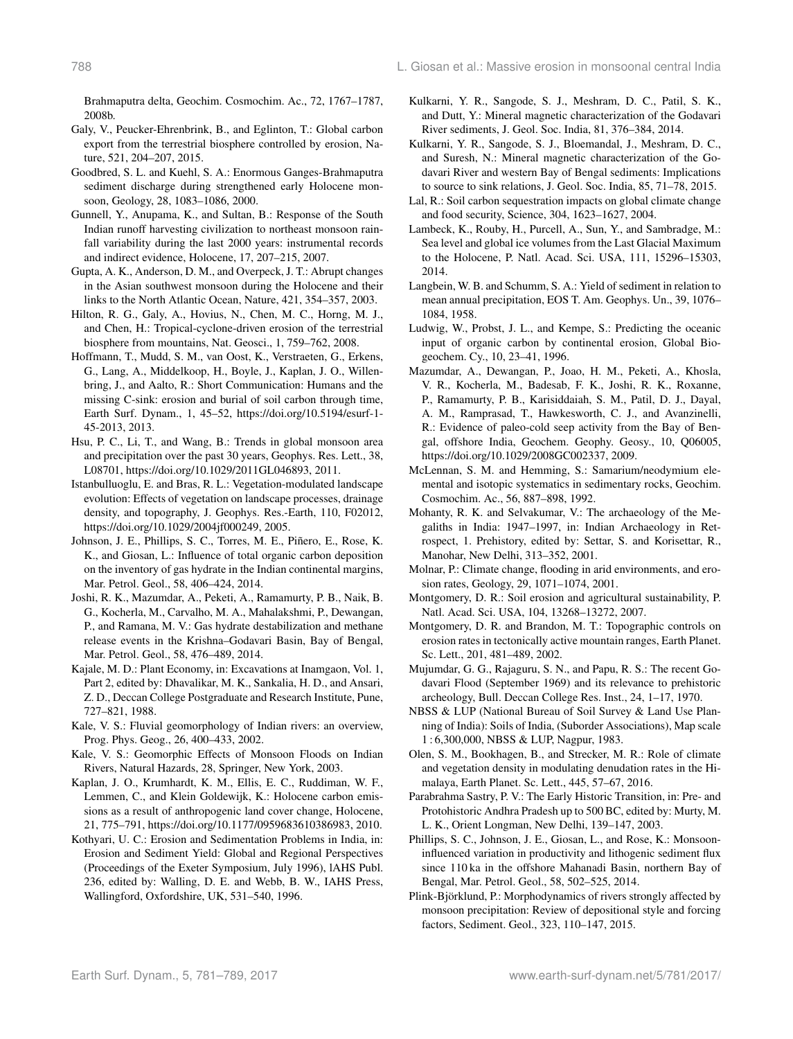Brahmaputra delta, Geochim. Cosmochim. Ac., 72, 1767–1787, 2008b.

- Galy, V., Peucker-Ehrenbrink, B., and Eglinton, T.: Global carbon export from the terrestrial biosphere controlled by erosion, Nature, 521, 204–207, 2015.
- Goodbred, S. L. and Kuehl, S. A.: Enormous Ganges-Brahmaputra sediment discharge during strengthened early Holocene monsoon, Geology, 28, 1083–1086, 2000.
- Gunnell, Y., Anupama, K., and Sultan, B.: Response of the South Indian runoff harvesting civilization to northeast monsoon rainfall variability during the last 2000 years: instrumental records and indirect evidence, Holocene, 17, 207–215, 2007.
- Gupta, A. K., Anderson, D. M., and Overpeck, J. T.: Abrupt changes in the Asian southwest monsoon during the Holocene and their links to the North Atlantic Ocean, Nature, 421, 354–357, 2003.
- Hilton, R. G., Galy, A., Hovius, N., Chen, M. C., Horng, M. J., and Chen, H.: Tropical-cyclone-driven erosion of the terrestrial biosphere from mountains, Nat. Geosci., 1, 759–762, 2008.
- Hoffmann, T., Mudd, S. M., van Oost, K., Verstraeten, G., Erkens, G., Lang, A., Middelkoop, H., Boyle, J., Kaplan, J. O., Willenbring, J., and Aalto, R.: Short Communication: Humans and the missing C-sink: erosion and burial of soil carbon through time, Earth Surf. Dynam., 1, 45–52, https://doi.org[/10.5194/esurf-1-](https://doi.org/10.5194/esurf-1-45-2013) [45-2013,](https://doi.org/10.5194/esurf-1-45-2013) 2013.
- Hsu, P. C., Li, T., and Wang, B.: Trends in global monsoon area and precipitation over the past 30 years, Geophys. Res. Lett., 38, L08701, https://doi.org[/10.1029/2011GL046893,](https://doi.org/10.1029/2011GL046893) 2011.
- Istanbulluoglu, E. and Bras, R. L.: Vegetation-modulated landscape evolution: Effects of vegetation on landscape processes, drainage density, and topography, J. Geophys. Res.-Earth, 110, F02012, https://doi.org[/10.1029/2004jf000249,](https://doi.org/10.1029/2004jf000249) 2005.
- Johnson, J. E., Phillips, S. C., Torres, M. E., Piñero, E., Rose, K. K., and Giosan, L.: Influence of total organic carbon deposition on the inventory of gas hydrate in the Indian continental margins, Mar. Petrol. Geol., 58, 406–424, 2014.
- Joshi, R. K., Mazumdar, A., Peketi, A., Ramamurty, P. B., Naik, B. G., Kocherla, M., Carvalho, M. A., Mahalakshmi, P., Dewangan, P., and Ramana, M. V.: Gas hydrate destabilization and methane release events in the Krishna–Godavari Basin, Bay of Bengal, Mar. Petrol. Geol., 58, 476–489, 2014.
- Kajale, M. D.: Plant Economy, in: Excavations at Inamgaon, Vol. 1, Part 2, edited by: Dhavalikar, M. K., Sankalia, H. D., and Ansari, Z. D., Deccan College Postgraduate and Research Institute, Pune, 727–821, 1988.
- Kale, V. S.: Fluvial geomorphology of Indian rivers: an overview, Prog. Phys. Geog., 26, 400–433, 2002.
- Kale, V. S.: Geomorphic Effects of Monsoon Floods on Indian Rivers, Natural Hazards, 28, Springer, New York, 2003.
- Kaplan, J. O., Krumhardt, K. M., Ellis, E. C., Ruddiman, W. F., Lemmen, C., and Klein Goldewijk, K.: Holocene carbon emissions as a result of anthropogenic land cover change, Holocene, 21, 775–791, https://doi.org[/10.1177/0959683610386983,](https://doi.org/10.1177/0959683610386983) 2010.
- Kothyari, U. C.: Erosion and Sedimentation Problems in India, in: Erosion and Sediment Yield: Global and Regional Perspectives (Proceedings of the Exeter Symposium, July 1996), lAHS Publ. 236, edited by: Walling, D. E. and Webb, B. W., IAHS Press, Wallingford, Oxfordshire, UK, 531–540, 1996.
- Kulkarni, Y. R., Sangode, S. J., Meshram, D. C., Patil, S. K., and Dutt, Y.: Mineral magnetic characterization of the Godavari River sediments, J. Geol. Soc. India, 81, 376–384, 2014.
- Kulkarni, Y. R., Sangode, S. J., Bloemandal, J., Meshram, D. C., and Suresh, N.: Mineral magnetic characterization of the Godavari River and western Bay of Bengal sediments: Implications to source to sink relations, J. Geol. Soc. India, 85, 71–78, 2015.
- Lal, R.: Soil carbon sequestration impacts on global climate change and food security, Science, 304, 1623–1627, 2004.
- Lambeck, K., Rouby, H., Purcell, A., Sun, Y., and Sambradge, M.: Sea level and global ice volumes from the Last Glacial Maximum to the Holocene, P. Natl. Acad. Sci. USA, 111, 15296–15303, 2014.
- Langbein, W. B. and Schumm, S. A.: Yield of sediment in relation to mean annual precipitation, EOS T. Am. Geophys. Un., 39, 1076– 1084, 1958.
- Ludwig, W., Probst, J. L., and Kempe, S.: Predicting the oceanic input of organic carbon by continental erosion, Global Biogeochem. Cy., 10, 23–41, 1996.
- Mazumdar, A., Dewangan, P., Joao, H. M., Peketi, A., Khosla, V. R., Kocherla, M., Badesab, F. K., Joshi, R. K., Roxanne, P., Ramamurty, P. B., Karisiddaiah, S. M., Patil, D. J., Dayal, A. M., Ramprasad, T., Hawkesworth, C. J., and Avanzinelli, R.: Evidence of paleo-cold seep activity from the Bay of Bengal, offshore India, Geochem. Geophy. Geosy., 10, Q06005, https://doi.org[/10.1029/2008GC002337,](https://doi.org/10.1029/2008GC002337) 2009.
- McLennan, S. M. and Hemming, S.: Samarium/neodymium elemental and isotopic systematics in sedimentary rocks, Geochim. Cosmochim. Ac., 56, 887–898, 1992.
- Mohanty, R. K. and Selvakumar, V.: The archaeology of the Megaliths in India: 1947–1997, in: Indian Archaeology in Retrospect, 1. Prehistory, edited by: Settar, S. and Korisettar, R., Manohar, New Delhi, 313–352, 2001.
- Molnar, P.: Climate change, flooding in arid environments, and erosion rates, Geology, 29, 1071–1074, 2001.
- Montgomery, D. R.: Soil erosion and agricultural sustainability, P. Natl. Acad. Sci. USA, 104, 13268–13272, 2007.
- Montgomery, D. R. and Brandon, M. T.: Topographic controls on erosion rates in tectonically active mountain ranges, Earth Planet. Sc. Lett., 201, 481–489, 2002.
- Mujumdar, G. G., Rajaguru, S. N., and Papu, R. S.: The recent Godavari Flood (September 1969) and its relevance to prehistoric archeology, Bull. Deccan College Res. Inst., 24, 1–17, 1970.
- NBSS & LUP (National Bureau of Soil Survey & Land Use Planning of India): Soils of India, (Suborder Associations), Map scale 1 : 6,300,000, NBSS & LUP, Nagpur, 1983.
- Olen, S. M., Bookhagen, B., and Strecker, M. R.: Role of climate and vegetation density in modulating denudation rates in the Himalaya, Earth Planet. Sc. Lett., 445, 57–67, 2016.
- Parabrahma Sastry, P. V.: The Early Historic Transition, in: Pre- and Protohistoric Andhra Pradesh up to 500 BC, edited by: Murty, M. L. K., Orient Longman, New Delhi, 139–147, 2003.
- Phillips, S. C., Johnson, J. E., Giosan, L., and Rose, K.: Monsooninfluenced variation in productivity and lithogenic sediment flux since 110 ka in the offshore Mahanadi Basin, northern Bay of Bengal, Mar. Petrol. Geol., 58, 502–525, 2014.
- Plink-Björklund, P.: Morphodynamics of rivers strongly affected by monsoon precipitation: Review of depositional style and forcing factors, Sediment. Geol., 323, 110–147, 2015.